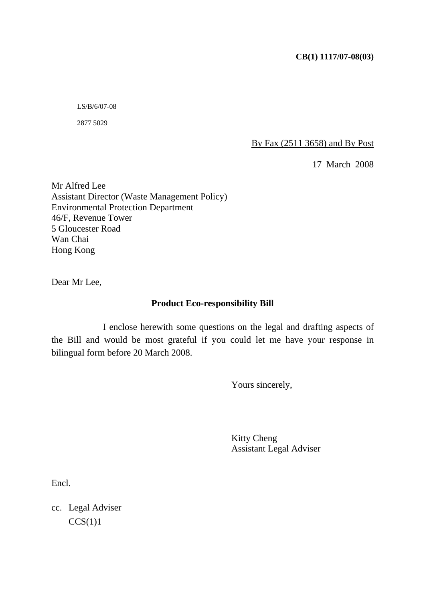LS/B/6/07-08

2877 5029

By Fax (2511 3658) and By Post

17 March 2008

Mr Alfred Lee Assistant Director (Waste Management Policy) Environmental Protection Department 46/F, Revenue Tower 5 Gloucester Road Wan Chai Hong Kong

Dear Mr Lee,

#### **Product Eco-responsibility Bill**

 I enclose herewith some questions on the legal and drafting aspects of the Bill and would be most grateful if you could let me have your response in bilingual form before 20 March 2008.

Yours sincerely,

 Kitty Cheng Assistant Legal Adviser

Encl.

cc. Legal Adviser  $CCS(1)1$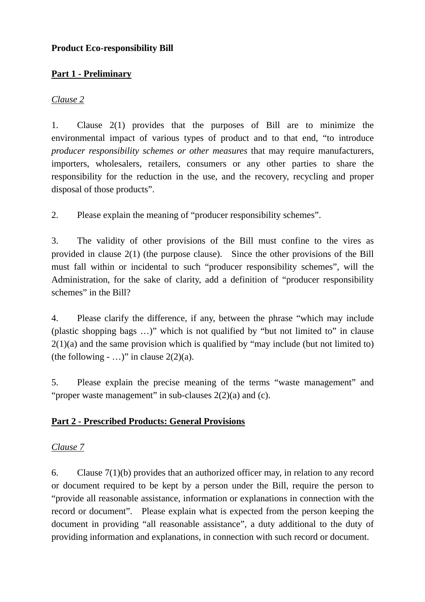# **Product Eco-responsibility Bill**

# **Part 1 - Preliminary**

### *Clause 2*

1. Clause 2(1) provides that the purposes of Bill are to minimize the environmental impact of various types of product and to that end, "to introduce *producer responsibility schemes or other measures* that may require manufacturers, importers, wholesalers, retailers, consumers or any other parties to share the responsibility for the reduction in the use, and the recovery, recycling and proper disposal of those products".

2. Please explain the meaning of "producer responsibility schemes".

3. The validity of other provisions of the Bill must confine to the vires as provided in clause 2(1) (the purpose clause). Since the other provisions of the Bill must fall within or incidental to such "producer responsibility schemes", will the Administration, for the sake of clarity, add a definition of "producer responsibility schemes" in the Bill?

4. Please clarify the difference, if any, between the phrase "which may include (plastic shopping bags …)" which is not qualified by "but not limited to" in clause  $2(1)(a)$  and the same provision which is qualified by "may include (but not limited to) (the following  $-$  ...)" in clause 2(2)(a).

5. Please explain the precise meaning of the terms "waste management" and "proper waste management" in sub-clauses 2(2)(a) and (c).

# **Part 2 - Prescribed Products: General Provisions**

# *Clause 7*

6. Clause 7(1)(b) provides that an authorized officer may, in relation to any record or document required to be kept by a person under the Bill, require the person to "provide all reasonable assistance, information or explanations in connection with the record or document". Please explain what is expected from the person keeping the document in providing "all reasonable assistance", a duty additional to the duty of providing information and explanations, in connection with such record or document.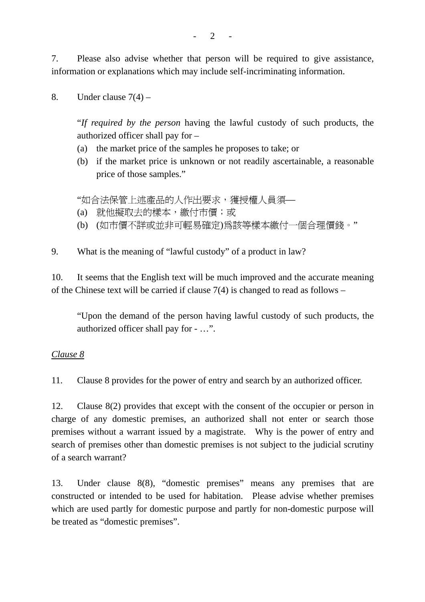7. Please also advise whether that person will be required to give assistance, information or explanations which may include self-incriminating information.

8. Under clause  $7(4)$  –

"*If required by the person* having the lawful custody of such products, the authorized officer shall pay for –

- (a) the market price of the samples he proposes to take; or
- (b) if the market price is unknown or not readily ascertainable, a reasonable price of those samples."

"如合法保管上述產品的人作出要求,獲授權人員須—

- (a) 就他擬取去的樣本,繳付市價;或
- (b) (如市價不詳或並非可輕易確定)為該等樣本繳付一個合理價錢。"

9. What is the meaning of "lawful custody" of a product in law?

10. It seems that the English text will be much improved and the accurate meaning of the Chinese text will be carried if clause 7(4) is changed to read as follows –

"Upon the demand of the person having lawful custody of such products, the authorized officer shall pay for - …".

#### *Clause 8*

11. Clause 8 provides for the power of entry and search by an authorized officer.

12. Clause 8(2) provides that except with the consent of the occupier or person in charge of any domestic premises, an authorized shall not enter or search those premises without a warrant issued by a magistrate. Why is the power of entry and search of premises other than domestic premises is not subject to the judicial scrutiny of a search warrant?

13. Under clause 8(8), "domestic premises" means any premises that are constructed or intended to be used for habitation. Please advise whether premises which are used partly for domestic purpose and partly for non-domestic purpose will be treated as "domestic premises".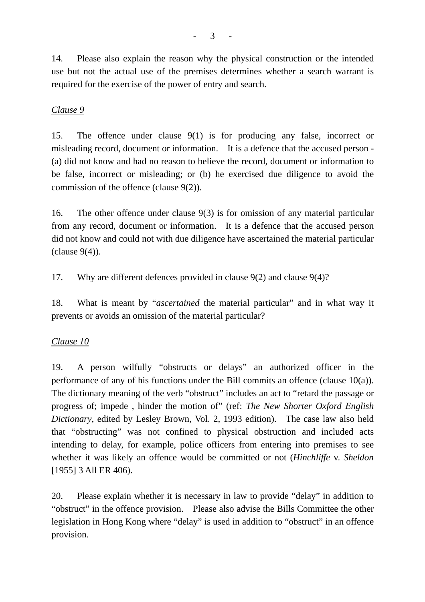14. Please also explain the reason why the physical construction or the intended use but not the actual use of the premises determines whether a search warrant is required for the exercise of the power of entry and search.

# *Clause 9*

15. The offence under clause 9(1) is for producing any false, incorrect or misleading record, document or information. It is a defence that the accused person - (a) did not know and had no reason to believe the record, document or information to be false, incorrect or misleading; or (b) he exercised due diligence to avoid the commission of the offence (clause 9(2)).

16. The other offence under clause 9(3) is for omission of any material particular from any record, document or information. It is a defence that the accused person did not know and could not with due diligence have ascertained the material particular  $clause 9(4)$ .

17. Why are different defences provided in clause 9(2) and clause 9(4)?

18. What is meant by "*ascertained* the material particular" and in what way it prevents or avoids an omission of the material particular?

#### *Clause 10*

19. A person wilfully "obstructs or delays" an authorized officer in the performance of any of his functions under the Bill commits an offence (clause 10(a)). The dictionary meaning of the verb "obstruct" includes an act to "retard the passage or progress of; impede , hinder the motion of" (ref: *The New Shorter Oxford English Dictionary*, edited by Lesley Brown, Vol. 2, 1993 edition). The case law also held that "obstructing" was not confined to physical obstruction and included acts intending to delay, for example, police officers from entering into premises to see whether it was likely an offence would be committed or not (*Hinchliffe* v. *Sheldon* [1955] 3 All ER 406).

20. Please explain whether it is necessary in law to provide "delay" in addition to "obstruct" in the offence provision. Please also advise the Bills Committee the other legislation in Hong Kong where "delay" is used in addition to "obstruct" in an offence provision.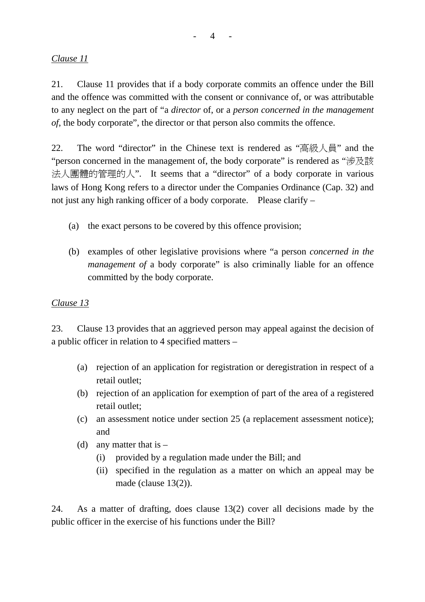# *Clause 11*

21. Clause 11 provides that if a body corporate commits an offence under the Bill and the offence was committed with the consent or connivance of, or was attributable to any neglect on the part of "a *director* of, or a *person concerned in the management of*, the body corporate", the director or that person also commits the offence.

22. The word "director" in the Chinese text is rendered as "高級人員" and the "person concerned in the management of, the body corporate" is rendered as "涉及該 法人團體的管理的人". It seems that a "director" of a body corporate in various laws of Hong Kong refers to a director under the Companies Ordinance (Cap. 32) and not just any high ranking officer of a body corporate. Please clarify –

- (a) the exact persons to be covered by this offence provision;
- (b) examples of other legislative provisions where "a person *concerned in the management of a body corporate*" is also criminally liable for an offence committed by the body corporate.

# *Clause 13*

23. Clause 13 provides that an aggrieved person may appeal against the decision of a public officer in relation to 4 specified matters –

- (a) rejection of an application for registration or deregistration in respect of a retail outlet;
- (b) rejection of an application for exemption of part of the area of a registered retail outlet;
- (c) an assessment notice under section 25 (a replacement assessment notice); and
- (d) any matter that is  $-$ 
	- (i) provided by a regulation made under the Bill; and
	- (ii) specified in the regulation as a matter on which an appeal may be made (clause 13(2)).

24. As a matter of drafting, does clause 13(2) cover all decisions made by the public officer in the exercise of his functions under the Bill?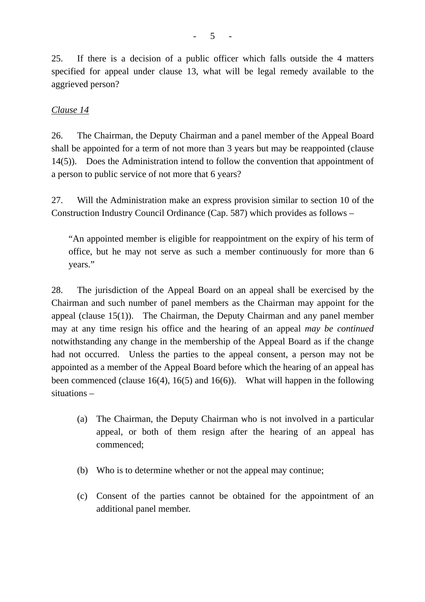25. If there is a decision of a public officer which falls outside the 4 matters specified for appeal under clause 13, what will be legal remedy available to the aggrieved person?

### *Clause 14*

26. The Chairman, the Deputy Chairman and a panel member of the Appeal Board shall be appointed for a term of not more than 3 years but may be reappointed (clause 14(5)). Does the Administration intend to follow the convention that appointment of a person to public service of not more that 6 years?

27. Will the Administration make an express provision similar to section 10 of the Construction Industry Council Ordinance (Cap. 587) which provides as follows –

"An appointed member is eligible for reappointment on the expiry of his term of office, but he may not serve as such a member continuously for more than 6 years."

28. The jurisdiction of the Appeal Board on an appeal shall be exercised by the Chairman and such number of panel members as the Chairman may appoint for the appeal (clause 15(1)). The Chairman, the Deputy Chairman and any panel member may at any time resign his office and the hearing of an appeal *may be continued* notwithstanding any change in the membership of the Appeal Board as if the change had not occurred. Unless the parties to the appeal consent, a person may not be appointed as a member of the Appeal Board before which the hearing of an appeal has been commenced (clause 16(4), 16(5) and 16(6)). What will happen in the following situations –

- (a) The Chairman, the Deputy Chairman who is not involved in a particular appeal, or both of them resign after the hearing of an appeal has commenced;
- (b) Who is to determine whether or not the appeal may continue;
- (c) Consent of the parties cannot be obtained for the appointment of an additional panel member.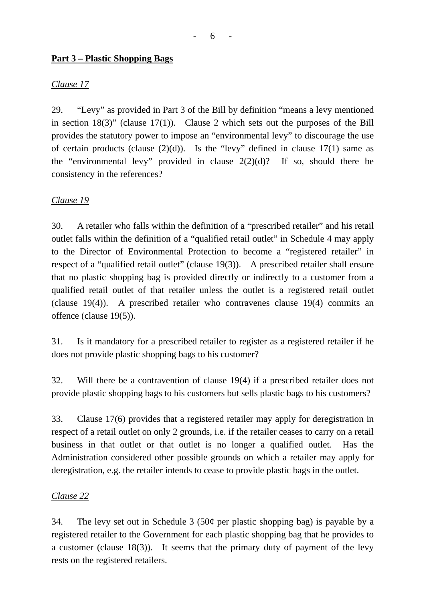### **Part 3 – Plastic Shopping Bags**

# *Clause 17*

29. "Levy" as provided in Part 3 of the Bill by definition "means a levy mentioned in section  $18(3)$ " (clause  $17(1)$ ). Clause 2 which sets out the purposes of the Bill provides the statutory power to impose an "environmental levy" to discourage the use of certain products (clause  $(2)(d)$ ). Is the "levy" defined in clause 17(1) same as the "environmental levy" provided in clause  $2(2)(d)$ ? If so, should there be consistency in the references?

#### *Clause 19*

30. A retailer who falls within the definition of a "prescribed retailer" and his retail outlet falls within the definition of a "qualified retail outlet" in Schedule 4 may apply to the Director of Environmental Protection to become a "registered retailer" in respect of a "qualified retail outlet" (clause 19(3)). A prescribed retailer shall ensure that no plastic shopping bag is provided directly or indirectly to a customer from a qualified retail outlet of that retailer unless the outlet is a registered retail outlet (clause 19(4)). A prescribed retailer who contravenes clause 19(4) commits an offence (clause 19(5)).

31. Is it mandatory for a prescribed retailer to register as a registered retailer if he does not provide plastic shopping bags to his customer?

32. Will there be a contravention of clause 19(4) if a prescribed retailer does not provide plastic shopping bags to his customers but sells plastic bags to his customers?

33. Clause 17(6) provides that a registered retailer may apply for deregistration in respect of a retail outlet on only 2 grounds, i.e. if the retailer ceases to carry on a retail business in that outlet or that outlet is no longer a qualified outlet. Has the Administration considered other possible grounds on which a retailer may apply for deregistration, e.g. the retailer intends to cease to provide plastic bags in the outlet.

#### *Clause 22*

34. The levy set out in Schedule 3 (50 $\varphi$  per plastic shopping bag) is payable by a registered retailer to the Government for each plastic shopping bag that he provides to a customer (clause 18(3)). It seems that the primary duty of payment of the levy rests on the registered retailers.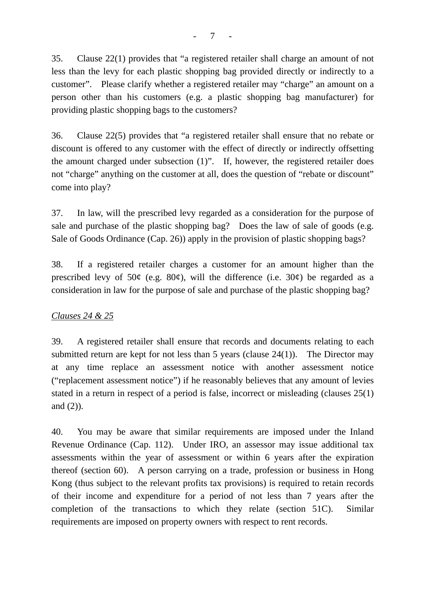35. Clause 22(1) provides that "a registered retailer shall charge an amount of not less than the levy for each plastic shopping bag provided directly or indirectly to a customer". Please clarify whether a registered retailer may "charge" an amount on a person other than his customers (e.g. a plastic shopping bag manufacturer) for providing plastic shopping bags to the customers?

36. Clause 22(5) provides that "a registered retailer shall ensure that no rebate or discount is offered to any customer with the effect of directly or indirectly offsetting the amount charged under subsection (1)". If, however, the registered retailer does not "charge" anything on the customer at all, does the question of "rebate or discount" come into play?

37. In law, will the prescribed levy regarded as a consideration for the purpose of sale and purchase of the plastic shopping bag? Does the law of sale of goods (e.g. Sale of Goods Ordinance (Cap. 26)) apply in the provision of plastic shopping bags?

38. If a registered retailer charges a customer for an amount higher than the prescribed levy of  $50¢$  (e.g.  $80¢$ ), will the difference (i.e.  $30¢$ ) be regarded as a consideration in law for the purpose of sale and purchase of the plastic shopping bag?

# *Clauses 24 & 25*

39. A registered retailer shall ensure that records and documents relating to each submitted return are kept for not less than 5 years (clause 24(1)). The Director may at any time replace an assessment notice with another assessment notice ("replacement assessment notice") if he reasonably believes that any amount of levies stated in a return in respect of a period is false, incorrect or misleading (clauses 25(1) and (2)).

40. You may be aware that similar requirements are imposed under the Inland Revenue Ordinance (Cap. 112). Under IRO, an assessor may issue additional tax assessments within the year of assessment or within 6 years after the expiration thereof (section 60). A person carrying on a trade, profession or business in Hong Kong (thus subject to the relevant profits tax provisions) is required to retain records of their income and expenditure for a period of not less than 7 years after the completion of the transactions to which they relate (section 51C). Similar requirements are imposed on property owners with respect to rent records.